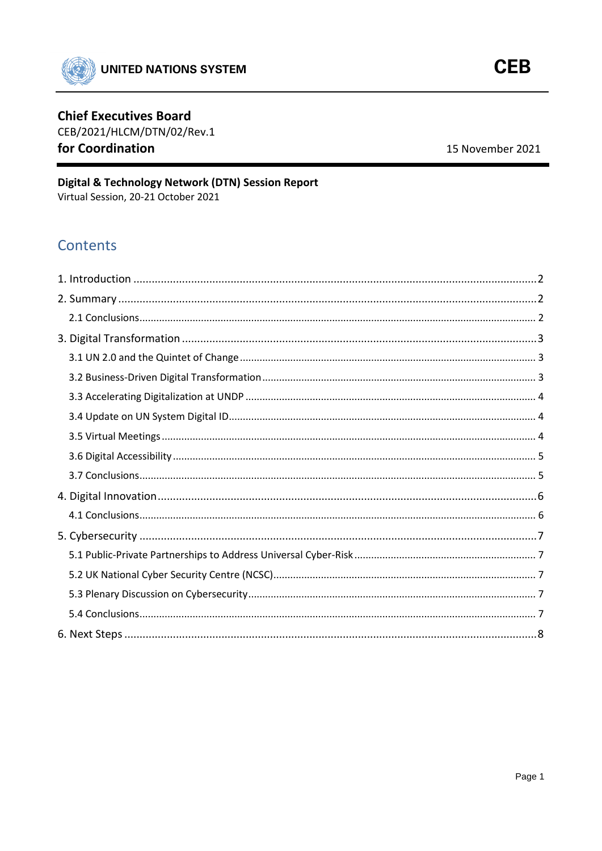

# **Chief Executives Board**

CEB/2021/HLCM/DTN/02/Rev.1 for Coordination

15 November 2021

# Digital & Technology Network (DTN) Session Report Virtual Session, 20-21 October 2021

**Contents**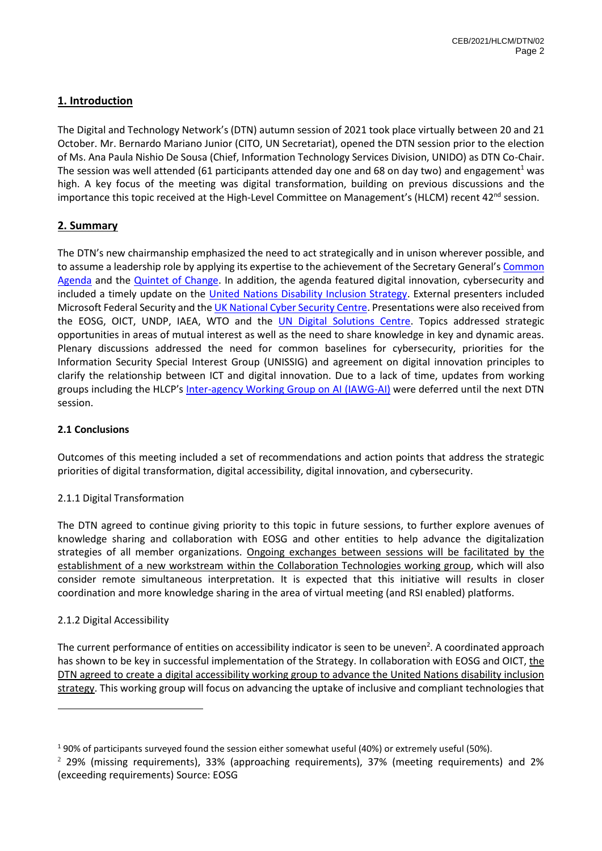# <span id="page-1-0"></span>**1. Introduction**

The Digital and Technology Network's (DTN) autumn session of 2021 took place virtually between 20 and 21 October. Mr. Bernardo Mariano Junior (CITO, UN Secretariat), opened the DTN session prior to the election of Ms. Ana Paula Nishio De Sousa (Chief, Information Technology Services Division, UNIDO) as DTN Co-Chair. The session was well attended (61 participants attended day one and 68 on day two) and engagement<sup>1</sup> was high. A key focus of the meeting was digital transformation, building on previous discussions and the importance this topic received at the High-Level Committee on Management's (HLCM) recent 42<sup>nd</sup> session.

# <span id="page-1-1"></span>**2. Summary**

The DTN's new chairmanship emphasized the need to act strategically and in unison wherever possible, and to assume a leadership role by applying its expertise to the achievement of the Secretary General's [Common](https://www.un.org/en/un75/common-agenda)  [Agenda](https://www.un.org/en/un75/common-agenda) and the Quintet [of Change.](https://www.google.com/url?sa=t&rct=j&q=&esrc=s&source=web&cd=&ved=2ahUKEwiqpZugjJ30AhUJzaQKHduEAiIQFnoECAkQAQ&url=https%3A%2F%2Fwww.un.org%2Fsites%2Fun2.un.org%2Ffiles%2Fun_2.0_-_quintet_of_change.pdf&usg=AOvVaw3TTHnBOIvyjcNxKuKHxqHT) In addition, the agenda featured digital innovation, cybersecurity and included a timely update on the [United Nations Disability Inclusion Strategy.](https://www.un.org/en/content/disabilitystrategy/) External presenters included Microsoft Federal Security and the *UK National Cyber Security Centre*. Presentations were also received from the EOSG, OICT, UNDP, IAEA, WTO and the [UN Digital Solutions Centre.](https://www.un-dsc.org/) Topics addressed strategic opportunities in areas of mutual interest as well as the need to share knowledge in key and dynamic areas. Plenary discussions addressed the need for common baselines for cybersecurity, priorities for the Information Security Special Interest Group (UNISSIG) and agreement on digital innovation principles to clarify the relationship between ICT and digital innovation. Due to a lack of time, updates from working groups including the HLCP's [Inter-agency Working Group on AI \(IAWG-AI\)](https://unsceb.org/inter-agency-working-group-artificial-intelligence) were deferred until the next DTN session.

### <span id="page-1-2"></span>**2.1 Conclusions**

Outcomes of this meeting included a set of recommendations and action points that address the strategic priorities of digital transformation, digital accessibility, digital innovation, and cybersecurity.

### 2.1.1 Digital Transformation

The DTN agreed to continue giving priority to this topic in future sessions, to further explore avenues of knowledge sharing and collaboration with EOSG and other entities to help advance the digitalization strategies of all member organizations. Ongoing exchanges between sessions will be facilitated by the establishment of a new workstream within the Collaboration Technologies working group, which will also consider remote simultaneous interpretation. It is expected that this initiative will results in closer coordination and more knowledge sharing in the area of virtual meeting (and RSI enabled) platforms.

### 2.1.2 Digital Accessibility

The current performance of entities on accessibility indicator is seen to be uneven<sup>2</sup>. A coordinated approach has shown to be key in successful implementation of the Strategy. In collaboration with EOSG and OICT, the DTN agreed to create a digital accessibility working group to advance the United Nations disability inclusion strategy. This working group will focus on advancing the uptake of inclusive and compliant technologies that

<sup>&</sup>lt;sup>1</sup> 90% of participants surveyed found the session either somewhat useful (40%) or extremely useful (50%).

<sup>2</sup> 29% (missing requirements), 33% (approaching requirements), 37% (meeting requirements) and 2% (exceeding requirements) Source: EOSG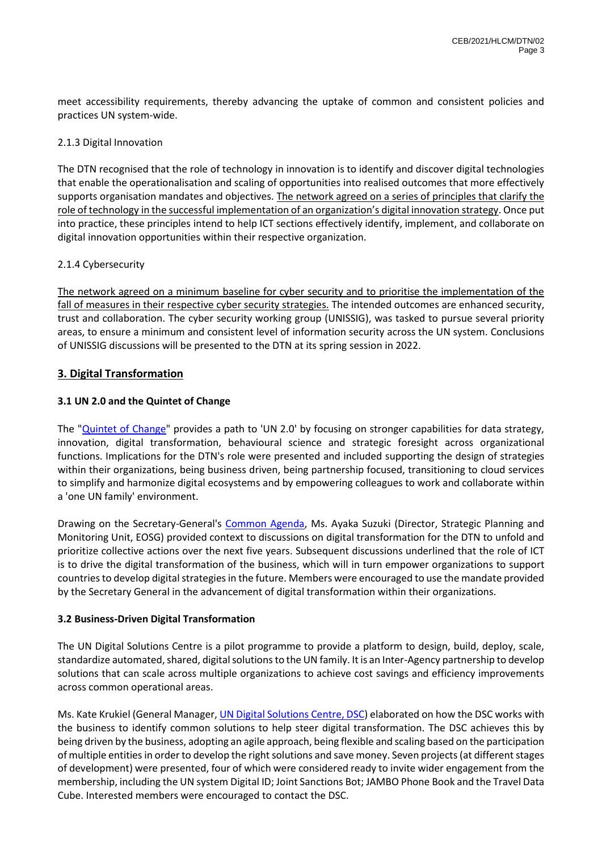meet accessibility requirements, thereby advancing the uptake of common and consistent policies and practices UN system-wide.

### 2.1.3 Digital Innovation

The DTN recognised that the role of technology in innovation is to identify and discover digital technologies that enable the operationalisation and scaling of opportunities into realised outcomes that more effectively supports organisation mandates and objectives. The network agreed on a series of principles that clarify the role of technology in the successful implementation of an organization's digital innovation strategy. Once put into practice, these principles intend to help ICT sections effectively identify, implement, and collaborate on digital innovation opportunities within their respective organization.

### 2.1.4 Cybersecurity

The network agreed on a minimum baseline for cyber security and to prioritise the implementation of the fall of measures in their respective cyber security strategies. The intended outcomes are enhanced security, trust and collaboration. The cyber security working group (UNISSIG), was tasked to pursue several priority areas, to ensure a minimum and consistent level of information security across the UN system. Conclusions of UNISSIG discussions will be presented to the DTN at its spring session in 2022.

### <span id="page-2-0"></span>**3. Digital Transformation**

### <span id="page-2-1"></span>**3.1 UN 2.0 and the Quintet of Change**

The "Quintet [of Change"](https://www.google.com/url?sa=t&rct=j&q=&esrc=s&source=web&cd=&ved=2ahUKEwiqpZugjJ30AhUJzaQKHduEAiIQFnoECAkQAQ&url=https%3A%2F%2Fwww.un.org%2Fsites%2Fun2.un.org%2Ffiles%2Fun_2.0_-_quintet_of_change.pdf&usg=AOvVaw3TTHnBOIvyjcNxKuKHxqHT) provides a path to 'UN 2.0' by focusing on stronger capabilities for data strategy, innovation, digital transformation, behavioural science and strategic foresight across organizational functions. Implications for the DTN's role were presented and included supporting the design of strategies within their organizations, being business driven, being partnership focused, transitioning to cloud services to simplify and harmonize digital ecosystems and by empowering colleagues to work and collaborate within a 'one UN family' environment.

Drawing on the Secretary-General's [Common Agenda,](https://www.un.org/en/un75/common-agenda) Ms. Ayaka Suzuki (Director, Strategic Planning and Monitoring Unit, EOSG) provided context to discussions on digital transformation for the DTN to unfold and prioritize collective actions over the next five years. Subsequent discussions underlined that the role of ICT is to drive the digital transformation of the business, which will in turn empower organizations to support countries to develop digital strategies in the future. Members were encouraged to use the mandate provided by the Secretary General in the advancement of digital transformation within their organizations.

### <span id="page-2-2"></span>**3.2 Business-Driven Digital Transformation**

The UN Digital Solutions Centre is a pilot programme to provide a platform to design, build, deploy, scale, standardize automated, shared, digital solutions to the UN family. It is an Inter-Agency partnership to develop solutions that can scale across multiple organizations to achieve cost savings and efficiency improvements across common operational areas.

Ms. Kate Krukiel (General Manager[, UN Digital Solutions Centre, DSC\)](https://www.un-dsc.org/) elaborated on how the DSC works with the business to identify common solutions to help steer digital transformation. The DSC achieves this by being driven by the business, adopting an agile approach, being flexible and scaling based on the participation of multiple entities in order to develop the right solutions and save money. Seven projects (at different stages of development) were presented, four of which were considered ready to invite wider engagement from the membership, including the UN system Digital ID; Joint Sanctions Bot; JAMBO Phone Book and the Travel Data Cube. Interested members were encouraged to contact the DSC.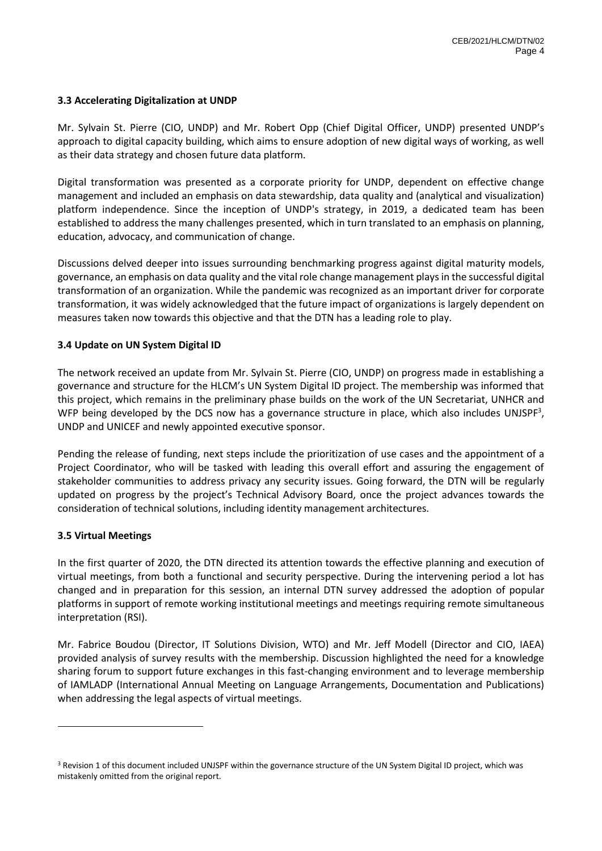### <span id="page-3-0"></span>**3.3 Accelerating Digitalization at UNDP**

Mr. Sylvain St. Pierre (CIO, UNDP) and Mr. Robert Opp (Chief Digital Officer, UNDP) presented UNDP's approach to digital capacity building, which aims to ensure adoption of new digital ways of working, as well as their data strategy and chosen future data platform.

Digital transformation was presented as a corporate priority for UNDP, dependent on effective change management and included an emphasis on data stewardship, data quality and (analytical and visualization) platform independence. Since the inception of UNDP's strategy, in 2019, a dedicated team has been established to address the many challenges presented, which in turn translated to an emphasis on planning, education, advocacy, and communication of change.

Discussions delved deeper into issues surrounding benchmarking progress against digital maturity models, governance, an emphasis on data quality and the vital role change management plays in the successful digital transformation of an organization. While the pandemic was recognized as an important driver for corporate transformation, it was widely acknowledged that the future impact of organizations is largely dependent on measures taken now towards this objective and that the DTN has a leading role to play.

### <span id="page-3-1"></span>**3.4 Update on UN System Digital ID**

The network received an update from Mr. Sylvain St. Pierre (CIO, UNDP) on progress made in establishing a governance and structure for the HLCM's UN System Digital ID project. The membership was informed that this project, which remains in the preliminary phase builds on the work of the UN Secretariat, UNHCR and WFP being developed by the DCS now has a governance structure in place, which also includes UNJSPF<sup>3</sup>, UNDP and UNICEF and newly appointed executive sponsor.

Pending the release of funding, next steps include the prioritization of use cases and the appointment of a Project Coordinator, who will be tasked with leading this overall effort and assuring the engagement of stakeholder communities to address privacy any security issues. Going forward, the DTN will be regularly updated on progress by the project's Technical Advisory Board, once the project advances towards the consideration of technical solutions, including identity management architectures.

#### <span id="page-3-2"></span>**3.5 Virtual Meetings**

In the first quarter of 2020, the DTN directed its attention towards the effective planning and execution of virtual meetings, from both a functional and security perspective. During the intervening period a lot has changed and in preparation for this session, an internal DTN survey addressed the adoption of popular platforms in support of remote working institutional meetings and meetings requiring remote simultaneous interpretation (RSI).

Mr. Fabrice Boudou (Director, IT Solutions Division, WTO) and Mr. Jeff Modell (Director and CIO, IAEA) provided analysis of survey results with the membership. Discussion highlighted the need for a knowledge sharing forum to support future exchanges in this fast-changing environment and to leverage membership of IAMLADP (International Annual Meeting on Language Arrangements, Documentation and Publications) when addressing the legal aspects of virtual meetings.

<sup>&</sup>lt;sup>3</sup> Revision 1 of this document included UNJSPF within the governance structure of the UN System Digital ID project, which was mistakenly omitted from the original report.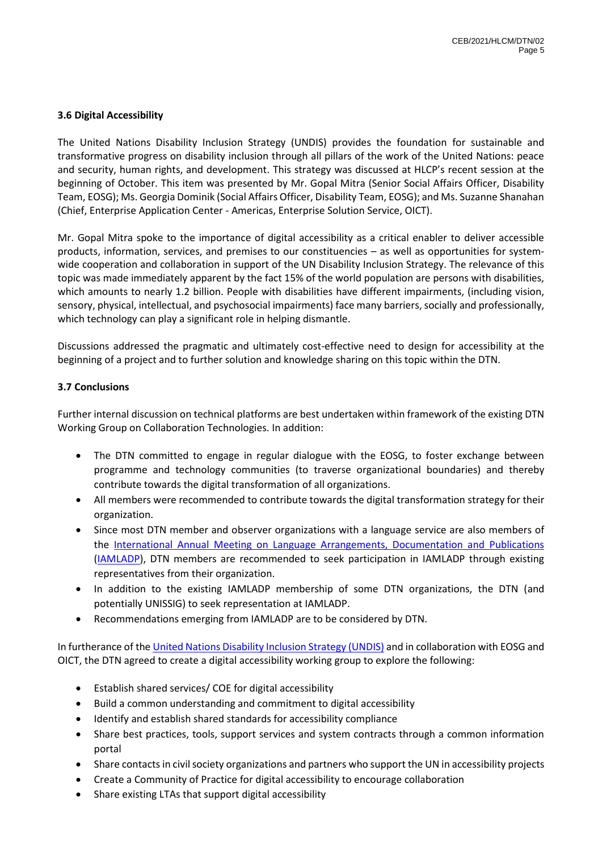### <span id="page-4-0"></span>**3.6 Digital Accessibility**

The United Nations Disability Inclusion Strategy (UNDIS) provides the foundation for sustainable and transformative progress on disability inclusion through all pillars of the work of the United Nations: peace and security, human rights, and development. This strategy was discussed at HLCP's recent session at the beginning of October. This item was presented by Mr. Gopal Mitra (Senior Social Affairs Officer, Disability Team, EOSG); Ms. Georgia Dominik (Social Affairs Officer, Disability Team, EOSG); and Ms. Suzanne Shanahan (Chief, Enterprise Application Center - Americas, Enterprise Solution Service, OICT).

Mr. Gopal Mitra spoke to the importance of digital accessibility as a critical enabler to deliver accessible products, information, services, and premises to our constituencies – as well as opportunities for systemwide cooperation and collaboration in support of the UN Disability Inclusion Strategy. The relevance of this topic was made immediately apparent by the fact 15% of the world population are persons with disabilities, which amounts to nearly 1.2 billion. People with disabilities have different impairments, (including vision, sensory, physical, intellectual, and psychosocial impairments) face many barriers, socially and professionally, which technology can play a significant role in helping dismantle.

Discussions addressed the pragmatic and ultimately cost-effective need to design for accessibility at the beginning of a project and to further solution and knowledge sharing on this topic within the DTN.

### <span id="page-4-1"></span>**3.7 Conclusions**

Further internal discussion on technical platforms are best undertaken within framework of the existing DTN Working Group on Collaboration Technologies. In addition:

- The DTN committed to engage in regular dialogue with the EOSG, to foster exchange between programme and technology communities (to traverse organizational boundaries) and thereby contribute towards the digital transformation of all organizations.
- All members were recommended to contribute towards the digital transformation strategy for their organization.
- Since most DTN member and observer organizations with a language service are also members of the [International Annual Meeting on Language Arrangements, Documentation and Publications](https://www.iamladp.org/) [\(IAMLADP\)](https://www.iamladp.org/), DTN members are recommended to seek participation in IAMLADP through existing representatives from their organization.
- In addition to the existing IAMLADP membership of some DTN organizations, the DTN (and potentially UNISSIG) to seek representation at IAMLADP.
- Recommendations emerging from IAMLADP are to be considered by DTN.

In furtherance of th[e United Nations Disability Inclusion Strategy \(UNDIS\)](https://www.un.org/en/content/disabilitystrategy/) and in collaboration with EOSG and OICT, the DTN agreed to create a digital accessibility working group to explore the following:

- Establish shared services/ COE for digital accessibility
- Build a common understanding and commitment to digital accessibility
- Identify and establish shared standards for accessibility compliance
- Share best practices, tools, support services and system contracts through a common information portal
- Share contacts in civil society organizations and partners who support the UN in accessibility projects
- Create a Community of Practice for digital accessibility to encourage collaboration
- Share existing LTAs that support digital accessibility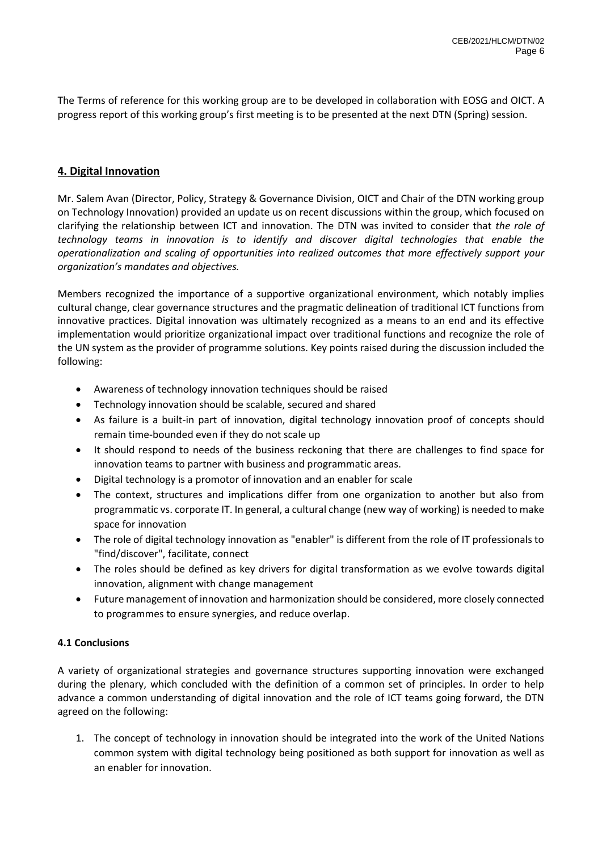The Terms of reference for this working group are to be developed in collaboration with EOSG and OICT. A progress report of this working group's first meeting is to be presented at the next DTN (Spring) session.

# <span id="page-5-0"></span>**4. Digital Innovation**

Mr. Salem Avan (Director, Policy, Strategy & Governance Division, OICT and Chair of the DTN working group on Technology Innovation) provided an update us on recent discussions within the group, which focused on clarifying the relationship between ICT and innovation. The DTN was invited to consider that *the role of technology teams in innovation is to identify and discover digital technologies that enable the operationalization and scaling of opportunities into realized outcomes that more effectively support your organization's mandates and objectives.* 

Members recognized the importance of a supportive organizational environment, which notably implies cultural change, clear governance structures and the pragmatic delineation of traditional ICT functions from innovative practices. Digital innovation was ultimately recognized as a means to an end and its effective implementation would prioritize organizational impact over traditional functions and recognize the role of the UN system as the provider of programme solutions. Key points raised during the discussion included the following:

- Awareness of technology innovation techniques should be raised
- Technology innovation should be scalable, secured and shared
- As failure is a built-in part of innovation, digital technology innovation proof of concepts should remain time-bounded even if they do not scale up
- It should respond to needs of the business reckoning that there are challenges to find space for innovation teams to partner with business and programmatic areas.
- Digital technology is a promotor of innovation and an enabler for scale
- The context, structures and implications differ from one organization to another but also from programmatic vs. corporate IT. In general, a cultural change (new way of working) is needed to make space for innovation
- The role of digital technology innovation as "enabler" is different from the role of IT professionals to "find/discover", facilitate, connect
- The roles should be defined as key drivers for digital transformation as we evolve towards digital innovation, alignment with change management
- Future management of innovation and harmonization should be considered, more closely connected to programmes to ensure synergies, and reduce overlap.

### <span id="page-5-1"></span>**4.1 Conclusions**

A variety of organizational strategies and governance structures supporting innovation were exchanged during the plenary, which concluded with the definition of a common set of principles. In order to help advance a common understanding of digital innovation and the role of ICT teams going forward, the DTN agreed on the following:

1. The concept of technology in innovation should be integrated into the work of the United Nations common system with digital technology being positioned as both support for innovation as well as an enabler for innovation.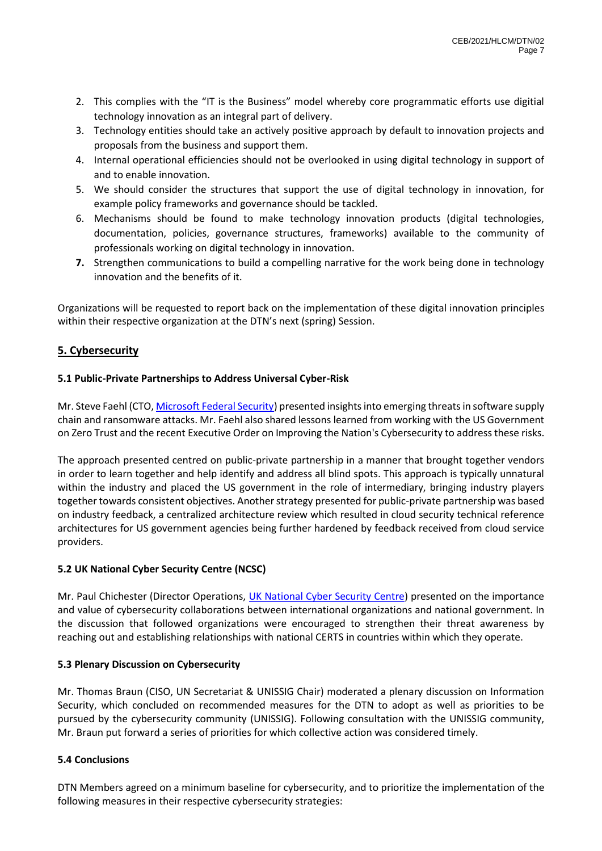- 2. This complies with the "IT is the Business" model whereby core programmatic efforts use digitial technology innovation as an integral part of delivery.
- 3. Technology entities should take an actively positive approach by default to innovation projects and proposals from the business and support them.
- 4. Internal operational efficiencies should not be overlooked in using digital technology in support of and to enable innovation.
- 5. We should consider the structures that support the use of digital technology in innovation, for example policy frameworks and governance should be tackled.
- 6. Mechanisms should be found to make technology innovation products (digital technologies, documentation, policies, governance structures, frameworks) available to the community of professionals working on digital technology in innovation.
- **7.** Strengthen communications to build a compelling narrative for the work being done in technology innovation and the benefits of it.

Organizations will be requested to report back on the implementation of these digital innovation principles within their respective organization at the DTN's next (spring) Session.

# <span id="page-6-0"></span>**5. Cybersecurity**

### <span id="page-6-1"></span>**5.1 Public-Private Partnerships to Address Universal Cyber-Risk**

Mr. Steve Faehl (CTO[, Microsoft Federal Security\)](https://www.microsoft.com/en-us/federal/CyberEO.aspx) presented insights into emerging threats in software supply chain and ransomware attacks. Mr. Faehl also shared lessons learned from working with the US Government on Zero Trust and the recent Executive Order on Improving the Nation's Cybersecurity to address these risks.

The approach presented centred on public-private partnership in a manner that brought together vendors in order to learn together and help identify and address all blind spots. This approach is typically unnatural within the industry and placed the US government in the role of intermediary, bringing industry players together towards consistent objectives. Another strategy presented for public-private partnership was based on industry feedback, a centralized architecture review which resulted in cloud security technical reference architectures for US government agencies being further hardened by feedback received from cloud service providers.

### <span id="page-6-2"></span>**5.2 UK National Cyber Security Centre (NCSC)**

Mr. Paul Chichester (Director Operations, [UK National Cyber Security Centre\)](https://www.ncsc.gov.uk/cyberfirst/overview) presented on the importance and value of cybersecurity collaborations between international organizations and national government. In the discussion that followed organizations were encouraged to strengthen their threat awareness by reaching out and establishing relationships with national CERTS in countries within which they operate.

### <span id="page-6-3"></span>**5.3 Plenary Discussion on Cybersecurity**

Mr. Thomas Braun (CISO, UN Secretariat & UNISSIG Chair) moderated a plenary discussion on Information Security, which concluded on recommended measures for the DTN to adopt as well as priorities to be pursued by the cybersecurity community (UNISSIG). Following consultation with the UNISSIG community, Mr. Braun put forward a series of priorities for which collective action was considered timely.

# <span id="page-6-4"></span>**5.4 Conclusions**

DTN Members agreed on a minimum baseline for cybersecurity, and to prioritize the implementation of the following measures in their respective cybersecurity strategies: